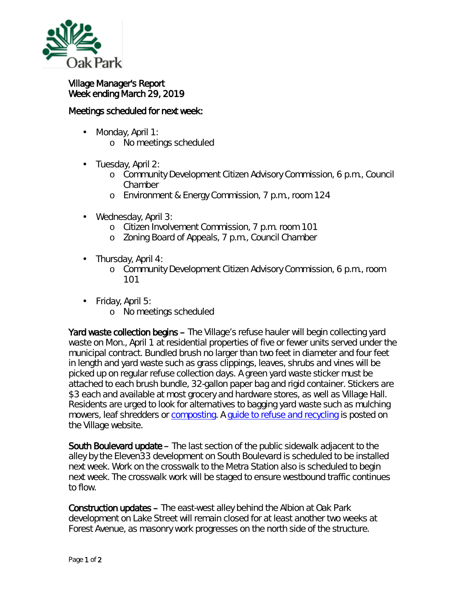

## Village Manager's Report Week ending March 29, 2019

## Meetings scheduled for next week:

- Monday, April 1: ä,
	- o No meetings scheduled
- l, Tuesday, April 2:
	- o Community Development Citizen Advisory Commission, 6 p.m., Council Chamber
	- o Environment & Energy Commission, 7 p.m., room 124
- $\mathbf{r}^{\prime}$ Wednesday, April 3:
	- o Citizen Involvement Commission, 7 p.m. room 101
	- o Zoning Board of Appeals, 7 p.m., Council Chamber
- Thursday, April 4:
	- o Community Development Citizen Advisory Commission, 6 p.m., room 101
- ä, Friday, April 5:
	- o No meetings scheduled

Yard waste collection begins – The Village's refuse hauler will begin collecting yard waste on Mon., April 1 at residential properties of five or fewer units served under the municipal contract. Bundled brush no larger than two feet in diameter and four feet in length and yard waste such as grass clippings, leaves, shrubs and vines will be picked up on regular refuse collection days. A green yard waste sticker must be attached to each brush bundle, 32-gallon paper bag and rigid container. Stickers are \$3 each and available at most grocery and hardware stores, as well as Village Hall. Residents are urged to look for alternatives to bagging yard waste such as mulching mowers, leaf shredders or [composting.](http://mxrelay.oak-park.us:32224/?dmVyPTEuMDAxJiY4NDIzN2YxZmEwYjY2YWNhOT01QzlCOEZGNl83OTQwMF8xMjQxXzEmJmMzNjI5ODVkMTliNDE2Mj0xMjMzJiZ1cmw9aHR0cCUzQSUyRiUyRnIyMCUyRXJzNiUyRW5ldCUyRnRuJTJFanNwJTNGdCUzRGxzeDc1dDVhYiUyRTAlMkUwJTJFcWRjbGxtbWFiJTJFMCUyNmlkJTNEcHJldmlldyUyNnIlM0QzJTI2cCUzRGh0dHBzJTI1M0ElMjUyRiUyNTJGd3d3JTJFb2FrLXBhcmslMkV1cyUyNTJGdmlsbGFnZS1zZXJ2aWNlcyUyNTJGcmVmdXNlLXJlY3ljbGluZyUyNTJGY29tcG9zdGFibGUtcHJvZ3JhbQ==) A [guide to refuse and recycling](https://www.oak-park.us/sites/default/files/newsletters/2019_recycling_guide_final_0.pdf) is posted on the Village website.

South Boulevard update – The last section of the public sidewalk adjacent to the alley by the Eleven33 development on South Boulevard is scheduled to be installed next week. Work on the crosswalk to the Metra Station also is scheduled to begin next week. The crosswalk work will be staged to ensure westbound traffic continues to flow.

Construction updates – The east-west alley behind the Albion at Oak Park development on Lake Street will remain closed for at least another two weeks at Forest Avenue, as masonry work progresses on the north side of the structure.